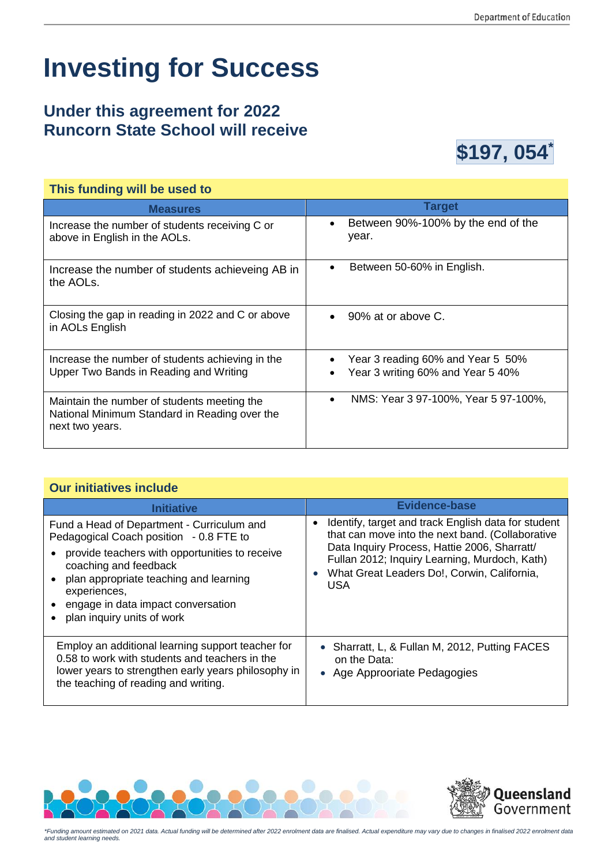## **Investing for Success**

## **Under this agreement for 2022 Runcorn State School will receive**



| This funding will be used to                                                                                    |                                                                        |  |  |
|-----------------------------------------------------------------------------------------------------------------|------------------------------------------------------------------------|--|--|
| <b>Measures</b>                                                                                                 | <b>Target</b>                                                          |  |  |
| Increase the number of students receiving C or<br>above in English in the AOLs.                                 | Between 90%-100% by the end of the<br>$\bullet$<br>year.               |  |  |
| Increase the number of students achieveing AB in<br>the AOLs.                                                   | Between 50-60% in English.<br>90% at or above C.                       |  |  |
| Closing the gap in reading in 2022 and C or above<br>in AOLs English                                            |                                                                        |  |  |
| Increase the number of students achieving in the<br>Upper Two Bands in Reading and Writing                      | Year 3 reading 60% and Year 5 50%<br>Year 3 writing 60% and Year 5 40% |  |  |
| Maintain the number of students meeting the<br>National Minimum Standard in Reading over the<br>next two years. | NMS: Year 3 97-100%, Year 5 97-100%,                                   |  |  |

## **Our initiatives include**

| Initiative                                                                                                                                                                                                                                                                                     | Evidence-base                                                                                                                                                                                                                                                                      |  |  |
|------------------------------------------------------------------------------------------------------------------------------------------------------------------------------------------------------------------------------------------------------------------------------------------------|------------------------------------------------------------------------------------------------------------------------------------------------------------------------------------------------------------------------------------------------------------------------------------|--|--|
| Fund a Head of Department - Curriculum and<br>Pedagogical Coach position - 0.8 FTE to<br>provide teachers with opportunities to receive<br>coaching and feedback<br>plan appropriate teaching and learning<br>experiences,<br>engage in data impact conversation<br>plan inquiry units of work | Identify, target and track English data for student<br>$\bullet$<br>that can move into the next band. (Collaborative<br>Data Inquiry Process, Hattie 2006, Sharratt/<br>Fullan 2012; Inquiry Learning, Murdoch, Kath)<br>What Great Leaders Do!, Corwin, California,<br><b>USA</b> |  |  |
| Employ an additional learning support teacher for<br>0.58 to work with students and teachers in the<br>lower years to strengthen early years philosophy in<br>the teaching of reading and writing.                                                                                             | • Sharratt, L, & Fullan M, 2012, Putting FACES<br>on the Data:<br>• Age Approoriate Pedagogies                                                                                                                                                                                     |  |  |